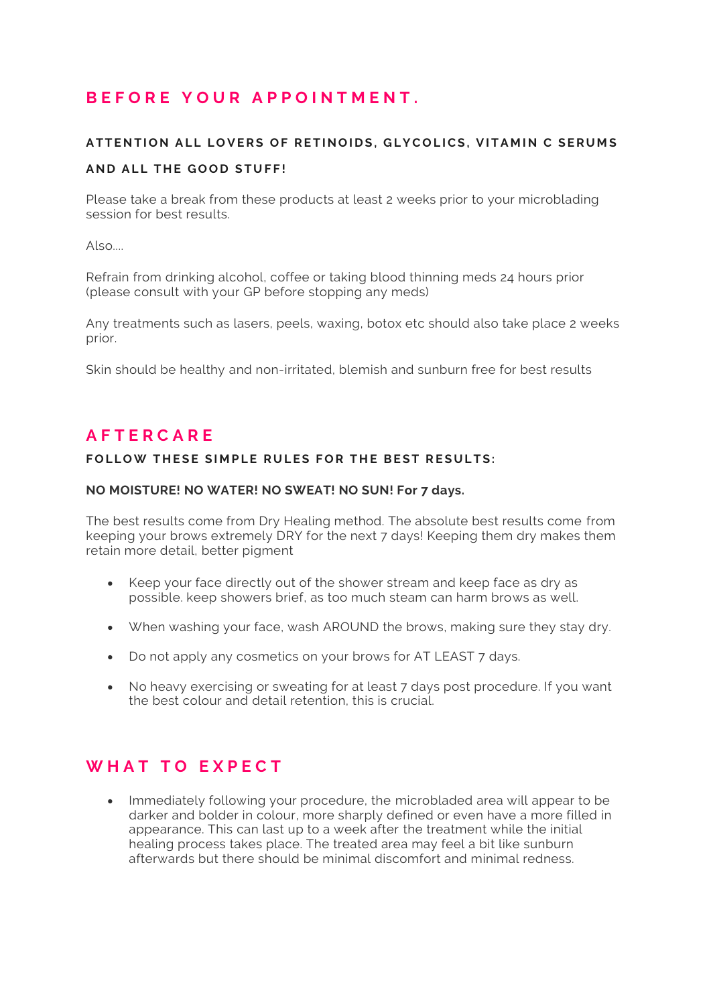## **B E F O R E Y O U R A P P O I N T M E N T .**

## A T T EN TION ALL LOVERS OF RETINOIDS, GLYCOLICS, VITAMIN C SERUMS **A N D A L L T H E G O O D S T U FF!**

Please take a break from these products at least 2 weeks prior to your microblading session for best results.

 $Also$ 

Refrain from drinking alcohol, coffee or taking blood thinning meds 24 hours prior (please consult with your GP before stopping any meds)

Any treatments such as lasers, peels, waxing, botox etc should also take place 2 weeks prior.

Skin should be healthy and non-irritated, blemish and sunburn free for best results

### **A F T E R C A R E**

### FOLLOW THESE SIMPLE RULES FOR THE BEST RESULTS:

#### **NO MOISTURE! NO WATER! NO SWEAT! NO SUN! For 7 days.**

The best results come from Dry Healing method. The absolute best results come from keeping your brows extremely DRY for the next 7 days! Keeping them dry makes them retain more detail, better pigment

- Keep your face directly out of the shower stream and keep face as dry as possible. keep showers brief, as too much steam can harm brows as well.
- When washing your face, wash AROUND the brows, making sure they stay dry.
- Do not apply any cosmetics on your brows for AT LEAST 7 days.
- No heavy exercising or sweating for at least 7 days post procedure. If you want the best colour and detail retention, this is crucial.

## **W H A T T O E X P E C T**

• Immediately following your procedure, the microbladed area will appear to be darker and bolder in colour, more sharply defined or even have a more filled in appearance. This can last up to a week after the treatment while the initial healing process takes place. The treated area may feel a bit like sunburn afterwards but there should be minimal discomfort and minimal redness.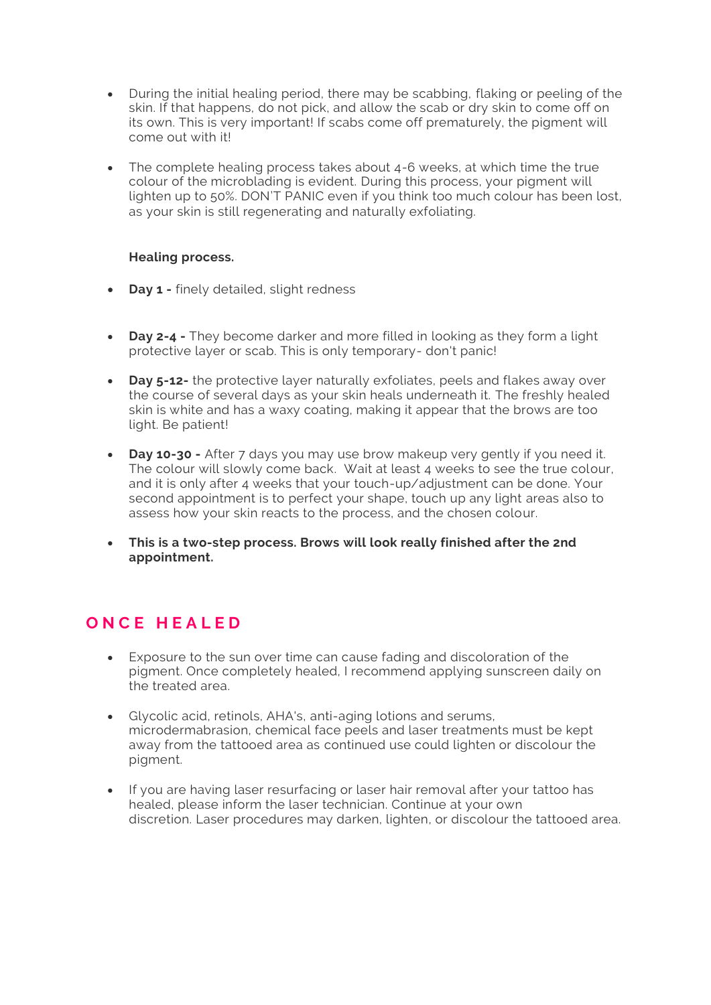- During the initial healing period, there may be scabbing, flaking or peeling of the skin. If that happens, do not pick, and allow the scab or dry skin to come off on its own. This is very important! If scabs come off prematurely, the pigment will come out with it!
- The complete healing process takes about 4-6 weeks, at which time the true colour of the microblading is evident. During this process, your pigment will lighten up to 50%. DON'T PANIC even if you think too much colour has been lost, as your skin is still regenerating and naturally exfoliating.

### **Healing process.**

- **Day 1 -** finely detailed, slight redness
- **Day 2-4 -** They become darker and more filled in looking as they form a light protective layer or scab. This is only temporary- don't panic!
- **Day 5-12-** the protective layer naturally exfoliates, peels and flakes away over the course of several days as your skin heals underneath it. The freshly healed skin is white and has a waxy coating, making it appear that the brows are too light. Be patient!
- **Day 10-30 -** After 7 days you may use brow makeup very gently if you need it. The colour will slowly come back. Wait at least 4 weeks to see the true colour, and it is only after 4 weeks that your touch-up/adjustment can be done. Your second appointment is to perfect your shape, touch up any light areas also to assess how your skin reacts to the process, and the chosen colour.
- **This is a two-step process. Brows will look really finished after the 2nd appointment.**

# **O N C E H E A L E D**

- Exposure to the sun over time can cause fading and discoloration of the pigment. Once completely healed, I recommend applying sunscreen daily on the treated area.
- Glycolic acid, retinols, AHA's, anti-aging lotions and serums, microdermabrasion, chemical face peels and laser treatments must be kept away from the tattooed area as continued use could lighten or discolour the pigment.
- If you are having laser resurfacing or laser hair removal after your tattoo has healed, please inform the laser technician. Continue at your own discretion. Laser procedures may darken, lighten, or discolour the tattooed area.